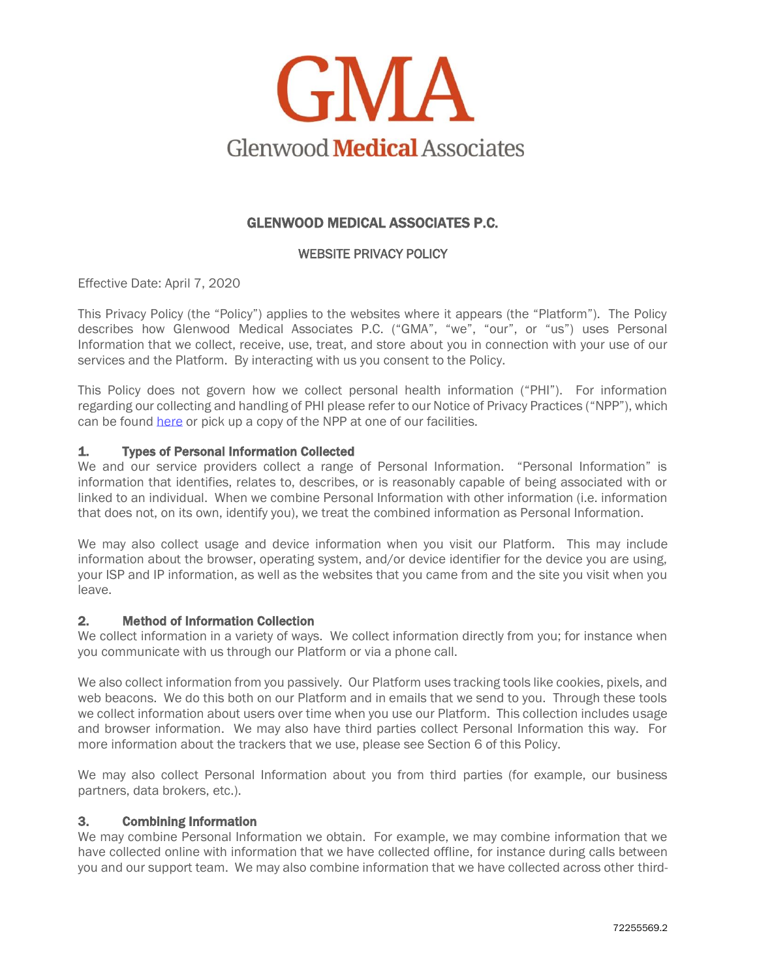

# GLENWOOD MEDICAL ASSOCIATES P.C.

## WEBSITE PRIVACY POLICY

Effective Date: April 7, 2020

This Privacy Policy (the "Policy") applies to the websites where it appears (the "Platform"). The Policy describes how Glenwood Medical Associates P.C. ("GMA", "we", "our", or "us") uses Personal Information that we collect, receive, use, treat, and store about you in connection with your use of our services and the Platform. By interacting with us you consent to the Policy.

This Policy does not govern how we collect personal health information ("PHI"). For information regarding our collecting and handling of PHI please refer to our Notice of Privacy Practices ("NPP"), which can be foun[d here](https://www.glenwoodmedical.com/patient-resources/privacy-notice/) or pick up a copy of the NPP at one of our facilities.

### 1. Types of Personal Information Collected

We and our service providers collect a range of Personal Information. "Personal Information" is information that identifies, relates to, describes, or is reasonably capable of being associated with or linked to an individual. When we combine Personal Information with other information (i.e. information that does not, on its own, identify you), we treat the combined information as Personal Information.

We may also collect usage and device information when you visit our Platform. This may include information about the browser, operating system, and/or device identifier for the device you are using, your ISP and IP information, as well as the websites that you came from and the site you visit when you leave.

### 2. Method of Information Collection

We collect information in a variety of ways. We collect information directly from you; for instance when you communicate with us through our Platform or via a phone call.

We also collect information from you passively. Our Platform uses tracking tools like cookies, pixels, and web beacons. We do this both on our Platform and in emails that we send to you. Through these tools we collect information about users over time when you use our Platform. This collection includes usage and browser information. We may also have third parties collect Personal Information this way. For more information about the trackers that we use, please see Section 6 of this Policy.

We may also collect Personal Information about you from third parties (for example, our business partners, data brokers, etc.).

### 3. Combining Information

We may combine Personal Information we obtain. For example, we may combine information that we have collected online with information that we have collected offline, for instance during calls between you and our support team. We may also combine information that we have collected across other third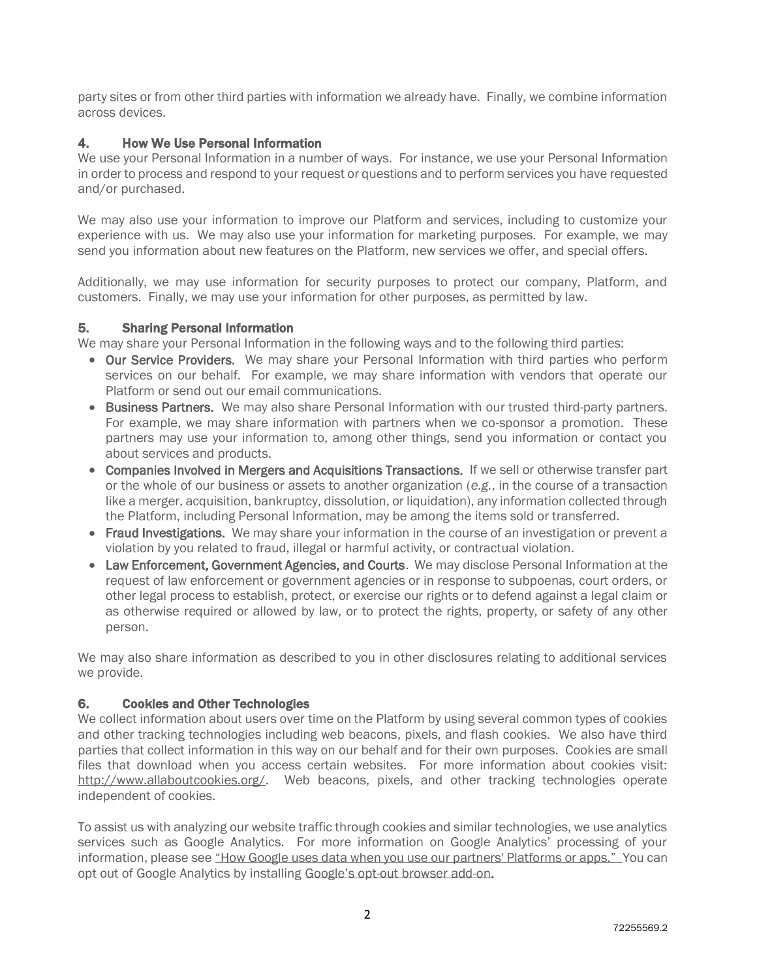party sites or from other third parties with information we already have. Finally, we combine information across devices.

# 4. How We Use Personal Information

We use your Personal Information in a number of ways. For instance, we use your Personal Information in order to process and respond to your request or questions and to perform services you have requested and/or purchased.

We may also use your information to improve our Platform and services, including to customize your experience with us. We may also use your information for marketing purposes. For example, we may send you information about new features on the Platform, new services we offer, and special offers.

Additionally, we may use information for security purposes to protect our company, Platform, and customers. Finally, we may use your information for other purposes, as permitted by law.

## 5. Sharing Personal Information

We may share your Personal Information in the following ways and to the following third parties:

- Our Service Providers. We may share your Personal Information with third parties who perform services on our behalf. For example, we may share information with vendors that operate our Platform or send out our email communications.
- Business Partners. We may also share Personal Information with our trusted third-party partners. For example, we may share information with partners when we co-sponsor a promotion. These partners may use your information to, among other things, send you information or contact you about services and products.
- Companies Involved in Mergers and Acquisitions Transactions. If we sell or otherwise transfer part or the whole of our business or assets to another organization (*e.g.*, in the course of a transaction like a merger, acquisition, bankruptcy, dissolution, or liquidation), any information collected through the Platform, including Personal Information, may be among the items sold or transferred.
- Fraud Investigations. We may share your information in the course of an investigation or prevent a violation by you related to fraud, illegal or harmful activity, or contractual violation.
- Law Enforcement, Government Agencies, and Courts. We may disclose Personal Information at the request of law enforcement or government agencies or in response to subpoenas, court orders, or other legal process to establish, protect, or exercise our rights or to defend against a legal claim or as otherwise required or allowed by law, or to protect the rights, property, or safety of any other person.

We may also share information as described to you in other disclosures relating to additional services we provide.

## 6. Cookies and Other Technologies

We collect information about users over time on the Platform by using several common types of cookies and other tracking technologies including web beacons, pixels, and flash cookies. We also have third parties that collect information in this way on our behalf and for their own purposes. Cookies are small files that download when you access certain websites. For more information about cookies visit: [http://www.allaboutcookies.org/.](http://www.allaboutcookies.org/) Web beacons, pixels, and other tracking technologies operate independent of cookies.

To assist us with analyzing our website traffic through cookies and similar technologies, we use analytics services such as Google Analytics. For more information on Google Analytics' processing of your information, please see ["How Google uses data when you use our partners' Platforms or apps."](http://www.google.com/policies/privacy/partners/) You can opt out of Google Analytics by installing Google's opt[-out browser add-on.](https://tools.google.com/dlpage/gaoptout)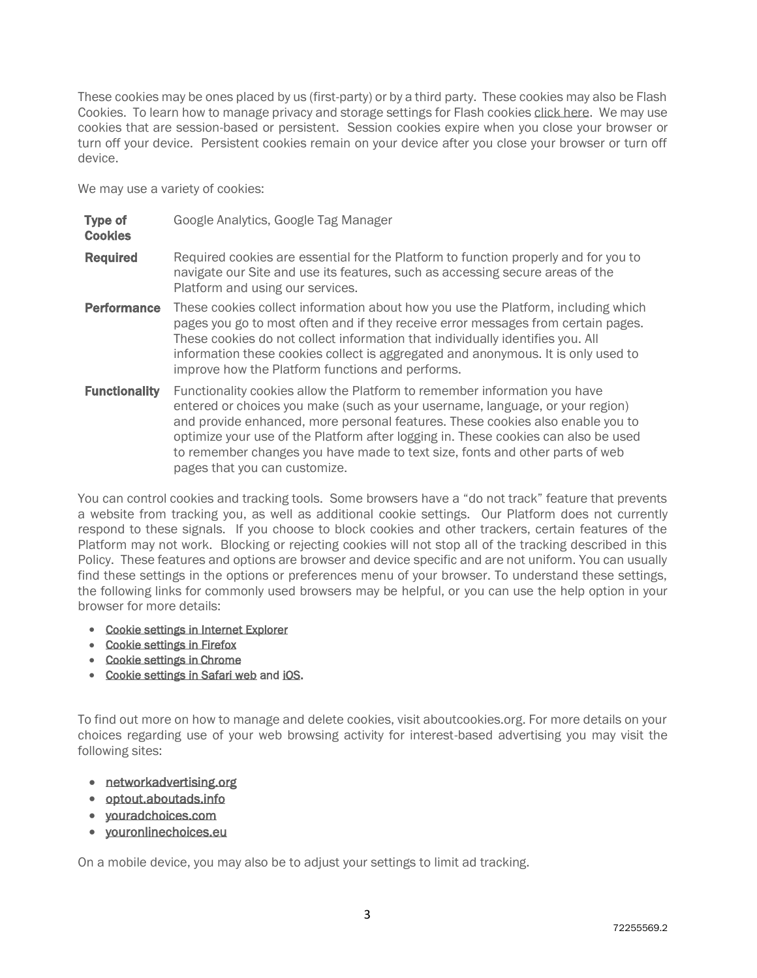These cookies may be ones placed by us (first-party) or by a third party. These cookies may also be Flash Cookies. To learn how to manage privacy and storage settings for Flash cookies [click here.](http://www.macromedia.com/support/documentation/en/flashplayer/help/settings_manager.html#117118) We may use cookies that are session-based or persistent. Session cookies expire when you close your browser or turn off your device. Persistent cookies remain on your device after you close your browser or turn off device.

We may use a variety of cookies:

| <b>Type of</b><br><b>Cookies</b> | Google Analytics, Google Tag Manager                                                                                                                                                                                                                                                                                                                                                                                                                |
|----------------------------------|-----------------------------------------------------------------------------------------------------------------------------------------------------------------------------------------------------------------------------------------------------------------------------------------------------------------------------------------------------------------------------------------------------------------------------------------------------|
| <b>Required</b>                  | Required cookies are essential for the Platform to function properly and for you to<br>navigate our Site and use its features, such as accessing secure areas of the<br>Platform and using our services.                                                                                                                                                                                                                                            |
| <b>Performance</b>               | These cookies collect information about how you use the Platform, including which<br>pages you go to most often and if they receive error messages from certain pages.<br>These cookies do not collect information that individually identifies you. All<br>information these cookies collect is aggregated and anonymous. It is only used to<br>improve how the Platform functions and performs.                                                   |
| <b>Functionality</b>             | Functionality cookies allow the Platform to remember information you have<br>entered or choices you make (such as your username, language, or your region)<br>and provide enhanced, more personal features. These cookies also enable you to<br>optimize your use of the Platform after logging in. These cookies can also be used<br>to remember changes you have made to text size, fonts and other parts of web<br>pages that you can customize. |

You can control cookies and tracking tools. Some browsers have a "do not track" feature that prevents a website from tracking you, as well as additional cookie settings. Our Platform does not currently respond to these signals. If you choose to block cookies and other trackers, certain features of the Platform may not work. Blocking or rejecting cookies will not stop all of the tracking described in this Policy. These features and options are browser and device specific and are not uniform. You can usually find these settings in the options or preferences menu of your browser. To understand these settings, the following links for commonly used browsers may be helpful, or you can use the help option in your browser for more details:

- [Cookie settings in Internet Explorer](http://windows.microsoft.com/en-GB/internet-explorer/delete-manage-cookies#ie=ie-10)
- [Cookie settings in Firefox](http://support.mozilla.com/en-US/kb/Cookies)
- [Cookie settings in](https://support.google.com/chrome/answer/95647?hl=en&ref_topic=14666) Chrome
- [Cookie settings in Safari web](https://support.apple.com/guide/safari/manage-cookies-and-website-data-sfri11471/mac) an[d iOS.](http://support.apple.com/kb/HT1677)

To find out more on how to manage and delete cookies, visit aboutcookies.org. For more details on your choices regarding use of your web browsing activity for interest-based advertising you may visit the following sites:

- [networkadvertising.org](http://networkadvertising.org/)
- [optout.aboutads.info](http://optout.aboutads.info/)
- [youradchoices.com](http://youradchoices.com/)
- [youronlinechoices.eu](http://youronlinechoices.eu/)

On a mobile device, you may also be to adjust your settings to limit ad tracking.